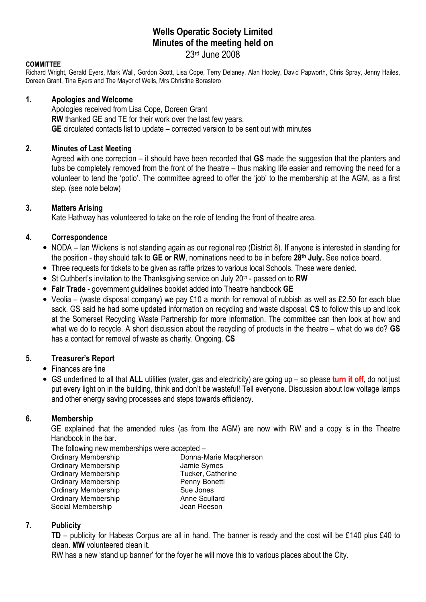# Wells Operatic Society Limited Minutes of the meeting held on

## 23rd June 2008

#### **COMMITTEE**

Richard Wright, Gerald Eyers, Mark Wall, Gordon Scott, Lisa Cope, Terry Delaney, Alan Hooley, David Papworth, Chris Spray, Jenny Hailes, Doreen Grant, Tina Eyers and The Mayor of Wells, Mrs Christine Borastero

#### 1. Apologies and Welcome

Apologies received from Lisa Cope, Doreen Grant RW thanked GE and TE for their work over the last few years. GE circulated contacts list to update – corrected version to be sent out with minutes

### 2. Minutes of Last Meeting

Agreed with one correction – it should have been recorded that GS made the suggestion that the planters and tubs be completely removed from the front of the theatre – thus making life easier and removing the need for a volunteer to tend the 'potio'. The committee agreed to offer the 'job' to the membership at the AGM, as a first step. (see note below)

#### 3. Matters Arising

Kate Hathway has volunteered to take on the role of tending the front of theatre area.

### 4. Correspondence

- NODA Ian Wickens is not standing again as our regional rep (District 8). If anyone is interested in standing for the position - they should talk to GE or RW, nominations need to be in before 28<sup>th</sup> July. See notice board.
- Three requests for tickets to be given as raffle prizes to various local Schools. These were denied.
- St Cuthbert's invitation to the Thanksgiving service on July  $20<sup>th</sup>$  passed on to RW
- Fair Trade government guidelines booklet added into Theatre handbook GE
- Veolia (waste disposal company) we pay £10 a month for removal of rubbish as well as £2.50 for each blue sack. GS said he had some updated information on recycling and waste disposal. CS to follow this up and look at the Somerset Recycling Waste Partnership for more information. The committee can then look at how and what we do to recycle. A short discussion about the recycling of products in the theatre – what do we do? GS has a contact for removal of waste as charity. Ongoing. CS

### 5. Treasurer's Report

### • Finances are fine

• GS underlined to all that ALL utilities (water, gas and electricity) are going up – so please turn it off, do not just put every light on in the building, think and don't be wasteful! Tell everyone. Discussion about low voltage lamps and other energy saving processes and steps towards efficiency.

### 6. Membership

 GE explained that the amended rules (as from the AGM) are now with RW and a copy is in the Theatre Handbook in the bar.

The following new memberships were accepted -<br>Ordinary Membership<br>Donna-N Donna-Marie Macpherson Ordinary Membership **Grammann Symes**<br>
Ordinary Membership **Jammann Symes**<br>
Tucker, Catherine Ordinary Membership Ordinary Membership Penny Bonetti Ordinary Membership Sue Jones<br>
Sue Jones<br>
Ordinary Membership Sue Anne Scullard Ordinary Membership Social Membership **Jean Reeson** 

### 7. Publicity

TD – publicity for Habeas Corpus are all in hand. The banner is ready and the cost will be £140 plus £40 to clean. MW volunteered clean it.

RW has a new 'stand up banner' for the foyer he will move this to various places about the City.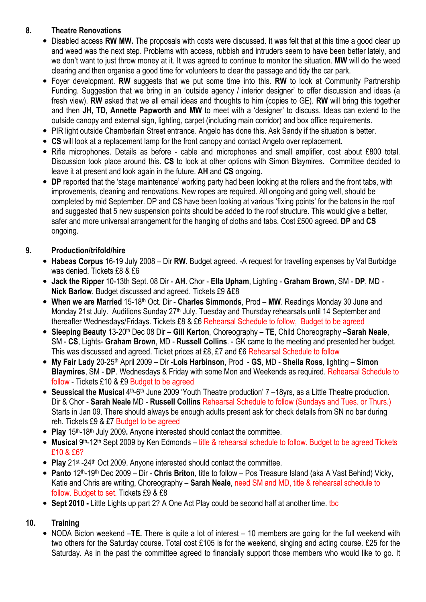## 8. Theatre Renovations

- Disabled access RW MW. The proposals with costs were discussed. It was felt that at this time a good clear up and weed was the next step. Problems with access, rubbish and intruders seem to have been better lately, and we don't want to just throw money at it. It was agreed to continue to monitor the situation. MW will do the weed clearing and then organise a good time for volunteers to clear the passage and tidy the car park.
- Foyer development. RW suggests that we put some time into this. RW to look at Community Partnership Funding. Suggestion that we bring in an 'outside agency / interior designer' to offer discussion and ideas (a fresh view). RW asked that we all email ideas and thoughts to him (copies to GE). RW will bring this together and then JH, TD, Annette Papworth and MW to meet with a 'designer' to discuss. Ideas can extend to the outside canopy and external sign, lighting, carpet (including main corridor) and box office requirements.
- PIR light outside Chamberlain Street entrance. Angelo has done this. Ask Sandy if the situation is better.
- CS will look at a replacement lamp for the front canopy and contact Angelo over replacement.
- Rifle microphones. Details as before cable and microphones and small amplifier, cost about £800 total. Discussion took place around this. CS to look at other options with Simon Blaymires. Committee decided to leave it at present and look again in the future. AH and CS ongoing.
- DP reported that the 'stage maintenance' working party had been looking at the rollers and the front tabs, with improvements, cleaning and renovations. New ropes are required. All ongoing and going well, should be completed by mid September. DP and CS have been looking at various 'fixing points' for the batons in the roof and suggested that 5 new suspension points should be added to the roof structure. This would give a better, safer and more universal arrangement for the hanging of cloths and tabs. Cost £500 agreed. DP and CS ongoing.

## 9. Production/trifold/hire

- Habeas Corpus 16-19 July 2008 Dir RW. Budget agreed. -A request for travelling expenses by Val Burbidge was denied. Tickets £8 & £6
- Jack the Ripper 10-13th Sept. 08 Dir AH. Chor Ella Upham, Lighting Graham Brown, SM DP, MD Nick Barlow. Budget discussed and agreed. Tickets £9 &£8
- When we are Married 15-18<sup>th</sup> Oct. Dir Charles Simmonds, Prod MW. Readings Monday 30 June and Monday 21st July. Auditions Sunday 27<sup>th</sup> July. Tuesday and Thursday rehearsals until 14 September and thereafter Wednesdays/Fridays. Tickets £8 & £6 Rehearsal Schedule to follow, Budget to be agreed
- Sleeping Beauty 13-20<sup>th</sup> Dec 08 Dir Gill Kerton, Choreography TE, Child Choreography Sarah Neale, SM - CS, Lights- Graham Brown, MD - Russell Collins. - GK came to the meeting and presented her budget. This was discussed and agreed. Ticket prices at £8, £7 and £6 Rehearsal Schedule to follow
- My Fair Lady 20-25<sup>th</sup> April 2009 Dir -Lois Harbinson, Prod GS, MD Sheila Ross, lighting Simon Blaymires, SM - DP. Wednesdays & Friday with some Mon and Weekends as required. Rehearsal Schedule to follow - Tickets £10 & £9 Budget to be agreed
- Seussical the Musical 4<sup>th</sup>-6<sup>th</sup> June 2009 'Youth Theatre production' 7 -18yrs, as a Little Theatre production. Dir & Chor - Sarah Neale MD - Russell Collins Rehearsal Schedule to follow (Sundays and Tues. or Thurs.) Starts in Jan 09. There should always be enough adults present ask for check details from SN no bar during reh. Tickets £9 & £7 Budget to be agreed
- Play  $15<sup>th</sup> 18<sup>th</sup>$  July 2009. Anyone interested should contact the committee.
- Musical 9<sup>th</sup>-12<sup>th</sup> Sept 2009 by Ken Edmonds title & rehearsal schedule to follow. Budget to be agreed Tickets £10 & £6?
- Play 21<sup>st</sup> -24<sup>th</sup> Oct 2009. Anyone interested should contact the committee.
- Panto 12<sup>th</sup>-19<sup>th</sup> Dec 2009 Dir Chris Briton, title to follow Pos Treasure Island (aka A Vast Behind) Vicky, Katie and Chris are writing, Choreography – Sarah Neale, need SM and MD, title & rehearsal schedule to follow. Budget to set. Tickets £9 & £8
- Sept 2010 Little Lights up part 2? A One Act Play could be second half at another time. the

## 10. Training

• NODA Bicton weekend –TE. There is quite a lot of interest – 10 members are going for the full weekend with two others for the Saturday course. Total cost £105 is for the weekend, singing and acting course. £25 for the Saturday. As in the past the committee agreed to financially support those members who would like to go. It